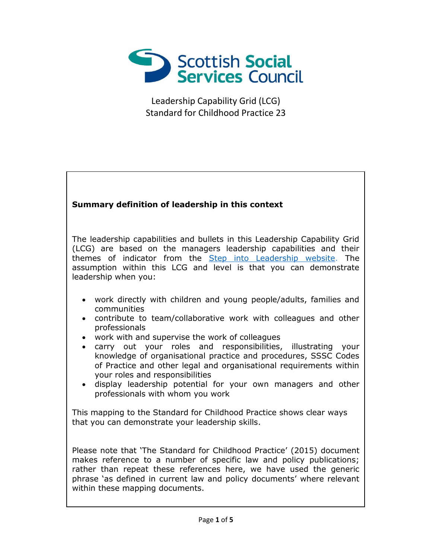

## **Summary definition of leadership in this context**

The leadership capabilities and bullets in this Leadership Capability Grid (LCG) are based on the managers leadership capabilities and their themes of indicator from the [Step into Leadership website.](http://www.stepintoleadership.info/) The assumption within this LCG and level is that you can demonstrate leadership when you:

- work directly with children and young people/adults, families and communities
- contribute to team/collaborative work with colleagues and other professionals
- work with and supervise the work of colleagues
- carry out your roles and responsibilities, illustrating your knowledge of organisational practice and procedures, SSSC Codes of Practice and other legal and organisational requirements within your roles and responsibilities
- display leadership potential for your own managers and other professionals with whom you work

This mapping to the Standard for Childhood Practice shows clear ways that you can demonstrate your leadership skills.

Please note that 'The Standard for Childhood Practice' (2015) document makes reference to a number of specific law and policy publications; rather than repeat these references here, we have used the generic phrase 'as defined in current law and policy documents' where relevant within these mapping documents.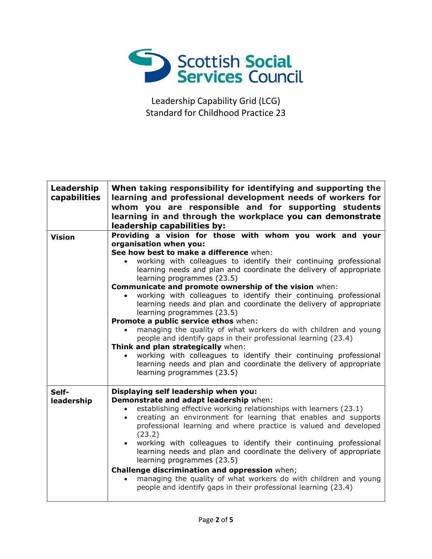

| Leadership<br>capabilities | When taking responsibility for identifying and supporting the<br>learning and professional development needs of workers for<br>whom you are responsible and for supporting students<br>learning in and through the workplace you can demonstrate<br>leadership capabilities by:                                                                                                                                                                                                                                                                                                                                                                                                                                                                                                                                                                                                                                                      |
|----------------------------|--------------------------------------------------------------------------------------------------------------------------------------------------------------------------------------------------------------------------------------------------------------------------------------------------------------------------------------------------------------------------------------------------------------------------------------------------------------------------------------------------------------------------------------------------------------------------------------------------------------------------------------------------------------------------------------------------------------------------------------------------------------------------------------------------------------------------------------------------------------------------------------------------------------------------------------|
| <b>Vision</b>              | Providing a vision for those with whom you work and your<br>organisation when you:<br>See how best to make a difference when:<br>working with colleagues to identify their continuing professional<br>learning needs and plan and coordinate the delivery of appropriate<br>learning programmes (23.5)<br>Communicate and promote ownership of the vision when:<br>working with colleagues to identify their continuing professional<br>learning needs and plan and coordinate the delivery of appropriate<br>learning programmes (23.5)<br>Promote a public service ethos when:<br>managing the quality of what workers do with children and young<br>people and identify gaps in their professional learning (23.4)<br>Think and plan strategically when:<br>working with colleagues to identify their continuing professional<br>learning needs and plan and coordinate the delivery of appropriate<br>learning programmes (23.5) |
| Self-<br>leadership        | Displaying self leadership when you:<br>Demonstrate and adapt leadership when:<br>establishing effective working relationships with learners (23.1)<br>$\bullet$<br>creating an environment for learning that enables and supports<br>$\bullet$<br>professional learning and where practice is valued and developed<br>(23.2)<br>working with colleagues to identify their continuing professional<br>$\bullet$<br>learning needs and plan and coordinate the delivery of appropriate<br>learning programmes (23.5)<br>Challenge discrimination and oppression when;<br>managing the quality of what workers do with children and young<br>people and identify gaps in their professional learning (23.4)                                                                                                                                                                                                                            |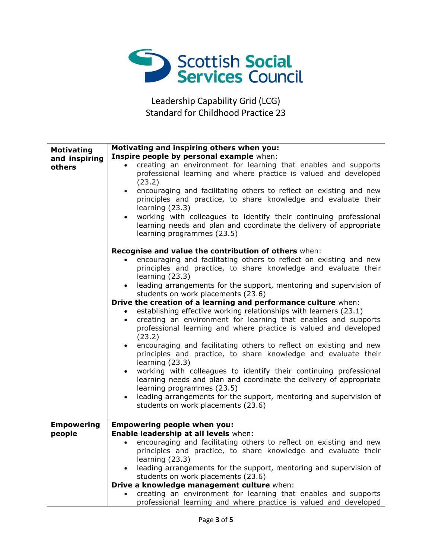

| <b>Motivating</b>           | Motivating and inspiring others when you:                                                                                                                                                                                                                                                                                                                              |
|-----------------------------|------------------------------------------------------------------------------------------------------------------------------------------------------------------------------------------------------------------------------------------------------------------------------------------------------------------------------------------------------------------------|
| and inspiring               | Inspire people by personal example when:                                                                                                                                                                                                                                                                                                                               |
| others                      | creating an environment for learning that enables and supports<br>$\bullet$<br>professional learning and where practice is valued and developed                                                                                                                                                                                                                        |
|                             | (23.2)<br>encouraging and facilitating others to reflect on existing and new<br>$\bullet$<br>principles and practice, to share knowledge and evaluate their<br>learning $(23.3)$<br>working with colleagues to identify their continuing professional<br>$\bullet$<br>learning needs and plan and coordinate the delivery of appropriate<br>learning programmes (23.5) |
|                             | Recognise and value the contribution of others when:                                                                                                                                                                                                                                                                                                                   |
|                             | encouraging and facilitating others to reflect on existing and new<br>principles and practice, to share knowledge and evaluate their<br>learning (23.3)                                                                                                                                                                                                                |
|                             | leading arrangements for the support, mentoring and supervision of<br>$\bullet$<br>students on work placements (23.6)                                                                                                                                                                                                                                                  |
|                             | Drive the creation of a learning and performance culture when:                                                                                                                                                                                                                                                                                                         |
|                             | establishing effective working relationships with learners (23.1)<br>creating an environment for learning that enables and supports<br>$\bullet$<br>professional learning and where practice is valued and developed<br>(23.2)                                                                                                                                         |
|                             | encouraging and facilitating others to reflect on existing and new<br>$\bullet$<br>principles and practice, to share knowledge and evaluate their<br>learning (23.3)                                                                                                                                                                                                   |
|                             | working with colleagues to identify their continuing professional<br>learning needs and plan and coordinate the delivery of appropriate<br>learning programmes (23.5)                                                                                                                                                                                                  |
|                             | leading arrangements for the support, mentoring and supervision of<br>$\bullet$<br>students on work placements (23.6)                                                                                                                                                                                                                                                  |
| <b>Empowering</b><br>people | <b>Empowering people when you:</b><br>Enable leadership at all levels when:                                                                                                                                                                                                                                                                                            |
|                             | encouraging and facilitating others to reflect on existing and new<br>$\bullet$<br>principles and practice, to share knowledge and evaluate their<br>learning $(23.3)$                                                                                                                                                                                                 |
|                             | leading arrangements for the support, mentoring and supervision of<br>$\bullet$<br>students on work placements (23.6)<br>Drive a knowledge management culture when:                                                                                                                                                                                                    |
|                             | creating an environment for learning that enables and supports<br>$\bullet$                                                                                                                                                                                                                                                                                            |
|                             | professional learning and where practice is valued and developed                                                                                                                                                                                                                                                                                                       |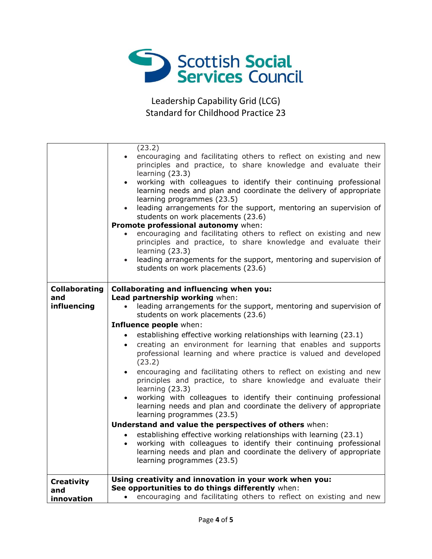

|                      | (23.2)                                                                                                                                            |
|----------------------|---------------------------------------------------------------------------------------------------------------------------------------------------|
|                      | encouraging and facilitating others to reflect on existing and new<br>$\bullet$<br>principles and practice, to share knowledge and evaluate their |
|                      | learning (23.3)                                                                                                                                   |
|                      | working with colleagues to identify their continuing professional                                                                                 |
|                      | learning needs and plan and coordinate the delivery of appropriate<br>learning programmes (23.5)                                                  |
|                      | leading arrangements for the support, mentoring an supervision of<br>$\bullet$                                                                    |
|                      | students on work placements (23.6)                                                                                                                |
|                      | Promote professional autonomy when:                                                                                                               |
|                      | encouraging and facilitating others to reflect on existing and new<br>$\bullet$                                                                   |
|                      | principles and practice, to share knowledge and evaluate their                                                                                    |
|                      | learning (23.3)<br>leading arrangements for the support, mentoring and supervision of<br>$\bullet$                                                |
|                      | students on work placements (23.6)                                                                                                                |
|                      |                                                                                                                                                   |
| <b>Collaborating</b> | <b>Collaborating and influencing when you:</b>                                                                                                    |
| and                  | Lead partnership working when:                                                                                                                    |
| influencing          | leading arrangements for the support, mentoring and supervision of<br>$\bullet$                                                                   |
|                      | students on work placements (23.6)                                                                                                                |
|                      | Influence people when:                                                                                                                            |
|                      | establishing effective working relationships with learning (23.1)<br>$\bullet$                                                                    |
|                      | creating an environment for learning that enables and supports<br>$\bullet$                                                                       |
|                      | professional learning and where practice is valued and developed                                                                                  |
|                      |                                                                                                                                                   |
|                      | (23.2)                                                                                                                                            |
|                      | encouraging and facilitating others to reflect on existing and new<br>$\bullet$                                                                   |
|                      | principles and practice, to share knowledge and evaluate their<br>learning (23.3)                                                                 |
|                      | working with colleagues to identify their continuing professional<br>$\bullet$                                                                    |
|                      | learning needs and plan and coordinate the delivery of appropriate                                                                                |
|                      | learning programmes (23.5)                                                                                                                        |
|                      | Understand and value the perspectives of others when:                                                                                             |
|                      | establishing effective working relationships with learning (23.1)<br>$\bullet$                                                                    |
|                      | working with colleagues to identify their continuing professional<br>$\bullet$                                                                    |
|                      | learning needs and plan and coordinate the delivery of appropriate                                                                                |
|                      | learning programmes (23.5)                                                                                                                        |
| <b>Creativity</b>    | Using creativity and innovation in your work when you:                                                                                            |
| and<br>innovation    | See opportunities to do things differently when:<br>encouraging and facilitating others to reflect on existing and new<br>$\bullet$               |